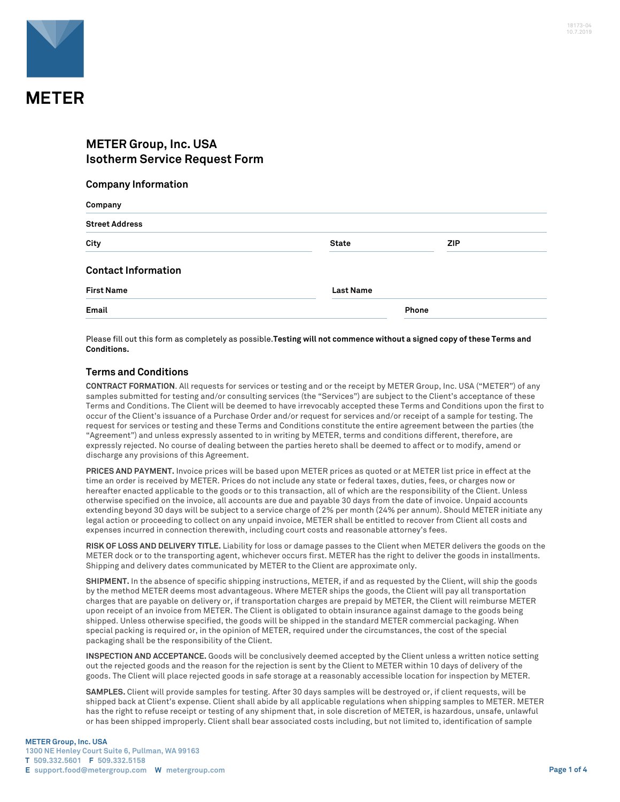

# **METER Group, Inc. USA Isotherm Service Request Form**

#### **Company Information**

| Company                    |                  |            |
|----------------------------|------------------|------------|
| <b>Street Address</b>      |                  |            |
| City                       | <b>State</b>     | <b>ZIP</b> |
| <b>Contact Information</b> |                  |            |
| <b>First Name</b>          | <b>Last Name</b> |            |
| Email                      |                  | Phone      |

Please fill out this form as completely as possible.**Testing will not commence without a signed copy of these Terms and Conditions.**

### **Terms and Conditions**

**CONTRACT FORMATION**. All requests for services or testing and or the receipt by METER Group, Inc. USA ("METER") of any samples submitted for testing and/or consulting services (the "Services") are subject to the Client's acceptance of these Terms and Conditions. The Client will be deemed to have irrevocably accepted these Terms and Conditions upon the first to occur of the Client's issuance of a Purchase Order and/or request for services and/or receipt of a sample for testing. The request for services or testing and these Terms and Conditions constitute the entire agreement between the parties (the "Agreement") and unless expressly assented to in writing by METER, terms and conditions different, therefore, are expressly rejected. No course of dealing between the parties hereto shall be deemed to affect or to modify, amend or discharge any provisions of this Agreement.

**PRICES AND PAYMENT.** Invoice prices will be based upon METER prices as quoted or at METER list price in effect at the time an order is received by METER. Prices do not include any state or federal taxes, duties, fees, or charges now or hereafter enacted applicable to the goods or to this transaction, all of which are the responsibility of the Client. Unless otherwise specified on the invoice, all accounts are due and payable 30 days from the date of invoice. Unpaid accounts extending beyond 30 days will be subject to a service charge of 2% per month (24% per annum). Should METER initiate any legal action or proceeding to collect on any unpaid invoice, METER shall be entitled to recover from Client all costs and expenses incurred in connection therewith, including court costs and reasonable attorney's fees.

**RISK OF LOSS AND DELIVERY TITLE.** Liability for loss or damage passes to the Client when METER delivers the goods on the METER dock or to the transporting agent, whichever occurs first. METER has the right to deliver the goods in installments. Shipping and delivery dates communicated by METER to the Client are approximate only.

**SHIPMENT.** In the absence of specific shipping instructions, METER, if and as requested by the Client, will ship the goods by the method METER deems most advantageous. Where METER ships the goods, the Client will pay all transportation charges that are payable on delivery or, if transportation charges are prepaid by METER, the Client will reimburse METER upon receipt of an invoice from METER. The Client is obligated to obtain insurance against damage to the goods being shipped. Unless otherwise specified, the goods will be shipped in the standard METER commercial packaging. When special packing is required or, in the opinion of METER, required under the circumstances, the cost of the special packaging shall be the responsibility of the Client.

**INSPECTION AND ACCEPTANCE.** Goods will be conclusively deemed accepted by the Client unless a written notice setting out the rejected goods and the reason for the rejection is sent by the Client to METER within 10 days of delivery of the goods. The Client will place rejected goods in safe storage at a reasonably accessible location for inspection by METER.

**SAMPLES.** Client will provide samples for testing. After 30 days samples will be destroyed or, if client requests, will be shipped back at Client's expense. Client shall abide by all applicable regulations when shipping samples to METER. METER has the right to refuse receipt or testing of any shipment that, in sole discretion of METER, is hazardous, unsafe, unlawful or has been shipped improperly. Client shall bear associated costs including, but not limited to, identification of sample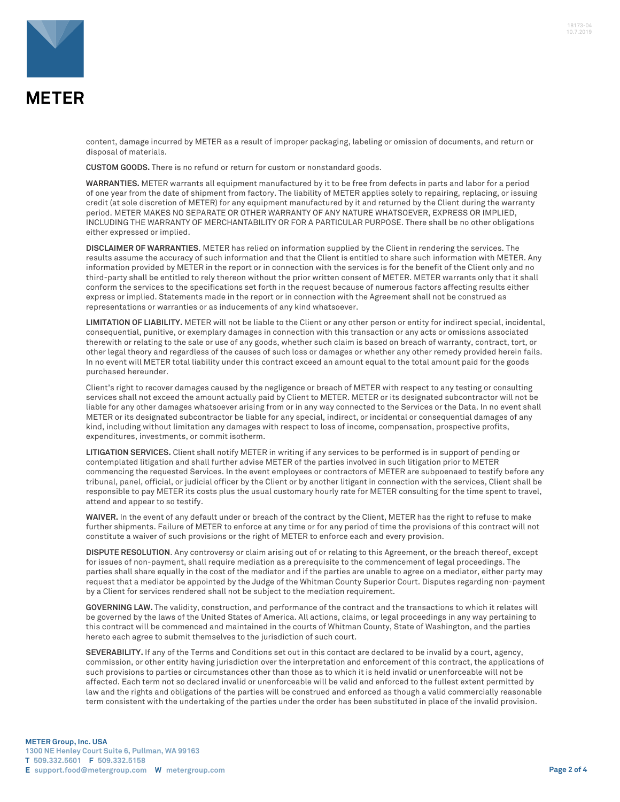

content, damage incurred by METER as a result of improper packaging, labeling or omission of documents, and return or disposal of materials.

**CUSTOM GOODS.** There is no refund or return for custom or nonstandard goods.

**WARRANTIES.** METER warrants all equipment manufactured by it to be free from defects in parts and labor for a period of one year from the date of shipment from factory. The liability of METER applies solely to repairing, replacing, or issuing credit (at sole discretion of METER) for any equipment manufactured by it and returned by the Client during the warranty period. METER MAKES NO SEPARATE OR OTHER WARRANTY OF ANY NATURE WHATSOEVER, EXPRESS OR IMPLIED, INCLUDING THE WARRANTY OF MERCHANTABILITY OR FOR A PARTICULAR PURPOSE. There shall be no other obligations either expressed or implied.

**DISCLAIMER OF WARRANTIES**. METER has relied on information supplied by the Client in rendering the services. The results assume the accuracy of such information and that the Client is entitled to share such information with METER. Any information provided by METER in the report or in connection with the services is for the benefit of the Client only and no third-party shall be entitled to rely thereon without the prior written consent of METER. METER warrants only that it shall conform the services to the specifications set forth in the request because of numerous factors affecting results either express or implied. Statements made in the report or in connection with the Agreement shall not be construed as representations or warranties or as inducements of any kind whatsoever.

**LIMITATION OF LIABILITY.** METER will not be liable to the Client or any other person or entity for indirect special, incidental, consequential, punitive, or exemplary damages in connection with this transaction or any acts or omissions associated therewith or relating to the sale or use of any goods, whether such claim is based on breach of warranty, contract, tort, or other legal theory and regardless of the causes of such loss or damages or whether any other remedy provided herein fails. In no event will METER total liability under this contract exceed an amount equal to the total amount paid for the goods purchased hereunder.

Client's right to recover damages caused by the negligence or breach of METER with respect to any testing or consulting services shall not exceed the amount actually paid by Client to METER. METER or its designated subcontractor will not be liable for any other damages whatsoever arising from or in any way connected to the Services or the Data. In no event shall METER or its designated subcontractor be liable for any special, indirect, or incidental or consequential damages of any kind, including without limitation any damages with respect to loss of income, compensation, prospective profits, expenditures, investments, or commit isotherm.

**LITIGATION SERVICES.** Client shall notify METER in writing if any services to be performed is in support of pending or contemplated litigation and shall further advise METER of the parties involved in such litigation prior to METER commencing the requested Services. In the event employees or contractors of METER are subpoenaed to testify before any tribunal, panel, official, or judicial officer by the Client or by another litigant in connection with the services, Client shall be responsible to pay METER its costs plus the usual customary hourly rate for METER consulting for the time spent to travel, attend and appear to so testify.

**WAIVER.** In the event of any default under or breach of the contract by the Client, METER has the right to refuse to make further shipments. Failure of METER to enforce at any time or for any period of time the provisions of this contract will not constitute a waiver of such provisions or the right of METER to enforce each and every provision.

**DISPUTE RESOLUTION**. Any controversy or claim arising out of or relating to this Agreement, or the breach thereof, except for issues of non-payment, shall require mediation as a prerequisite to the commencement of legal proceedings. The parties shall share equally in the cost of the mediator and if the parties are unable to agree on a mediator, either party may request that a mediator be appointed by the Judge of the Whitman County Superior Court. Disputes regarding non-payment by a Client for services rendered shall not be subject to the mediation requirement.

**GOVERNING LAW.** The validity, construction, and performance of the contract and the transactions to which it relates will be governed by the laws of the United States of America. All actions, claims, or legal proceedings in any way pertaining to this contract will be commenced and maintained in the courts of Whitman County, State of Washington, and the parties hereto each agree to submit themselves to the jurisdiction of such court.

**SEVERABILITY.** If any of the Terms and Conditions set out in this contact are declared to be invalid by a court, agency, commission, or other entity having jurisdiction over the interpretation and enforcement of this contract, the applications of such provisions to parties or circumstances other than those as to which it is held invalid or unenforceable will not be affected. Each term not so declared invalid or unenforceable will be valid and enforced to the fullest extent permitted by law and the rights and obligations of the parties will be construed and enforced as though a valid commercially reasonable term consistent with the undertaking of the parties under the order has been substituted in place of the invalid provision.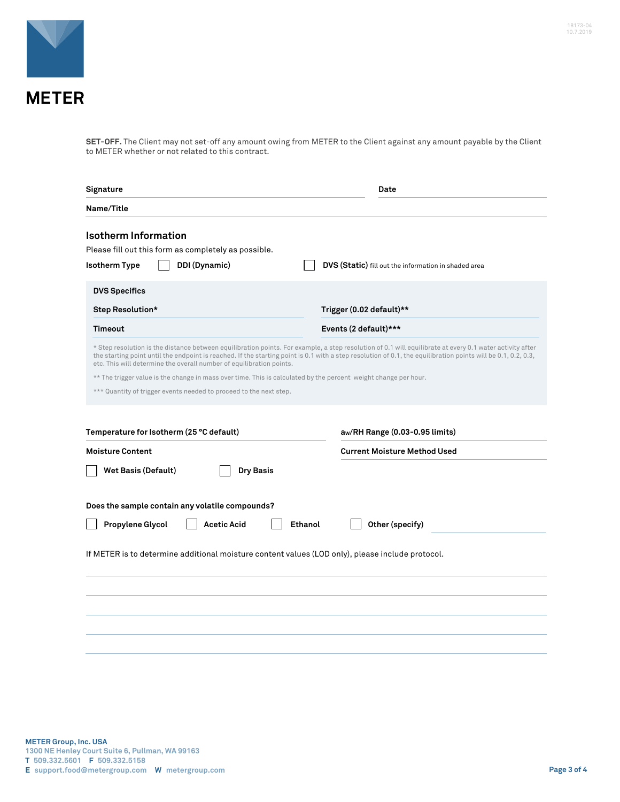



**METER** 

**SET-OFF.** The Client may not set-off any amount owing from METER to the Client against any amount payable by the Client to METER whether or not related to this contract.

| Signature                                                                                                                                                                                                                                                                                                                                                                                         | Date                                                 |  |  |  |
|---------------------------------------------------------------------------------------------------------------------------------------------------------------------------------------------------------------------------------------------------------------------------------------------------------------------------------------------------------------------------------------------------|------------------------------------------------------|--|--|--|
| Name/Title                                                                                                                                                                                                                                                                                                                                                                                        |                                                      |  |  |  |
| <b>Isotherm Information</b><br>Please fill out this form as completely as possible.<br>DDI (Dynamic)<br><b>Isotherm Type</b>                                                                                                                                                                                                                                                                      | DVS (Static) fill out the information in shaded area |  |  |  |
| <b>DVS Specifics</b>                                                                                                                                                                                                                                                                                                                                                                              |                                                      |  |  |  |
| Step Resolution*                                                                                                                                                                                                                                                                                                                                                                                  | Trigger (0.02 default)**                             |  |  |  |
| Timeout                                                                                                                                                                                                                                                                                                                                                                                           | Events (2 default)***                                |  |  |  |
| * Step resolution is the distance between equilibration points. For example, a step resolution of 0.1 will equilibrate at every 0.1 water activity after<br>the starting point until the endpoint is reached. If the starting point is 0.1 with a step resolution of 0.1, the equilibration points will be 0.1, 0.2, 0.3,<br>etc. This will determine the overall number of equilibration points. |                                                      |  |  |  |
| ** The trigger value is the change in mass over time. This is calculated by the percent weight change per hour.                                                                                                                                                                                                                                                                                   |                                                      |  |  |  |
| *** Quantity of trigger events needed to proceed to the next step.                                                                                                                                                                                                                                                                                                                                |                                                      |  |  |  |
| Temperature for Isotherm (25 °C default)                                                                                                                                                                                                                                                                                                                                                          | aw/RH Range (0.03-0.95 limits)                       |  |  |  |
| <b>Moisture Content</b>                                                                                                                                                                                                                                                                                                                                                                           | <b>Current Moisture Method Used</b>                  |  |  |  |
| <b>Wet Basis (Default)</b><br><b>Dry Basis</b>                                                                                                                                                                                                                                                                                                                                                    |                                                      |  |  |  |
| Does the sample contain any volatile compounds?                                                                                                                                                                                                                                                                                                                                                   |                                                      |  |  |  |
| Propylene Glycol<br><b>Acetic Acid</b><br>Ethanol                                                                                                                                                                                                                                                                                                                                                 | Other (specify)                                      |  |  |  |
| If METER is to determine additional moisture content values (LOD only), please include protocol.                                                                                                                                                                                                                                                                                                  |                                                      |  |  |  |
|                                                                                                                                                                                                                                                                                                                                                                                                   |                                                      |  |  |  |
|                                                                                                                                                                                                                                                                                                                                                                                                   |                                                      |  |  |  |
|                                                                                                                                                                                                                                                                                                                                                                                                   |                                                      |  |  |  |
|                                                                                                                                                                                                                                                                                                                                                                                                   |                                                      |  |  |  |
|                                                                                                                                                                                                                                                                                                                                                                                                   |                                                      |  |  |  |